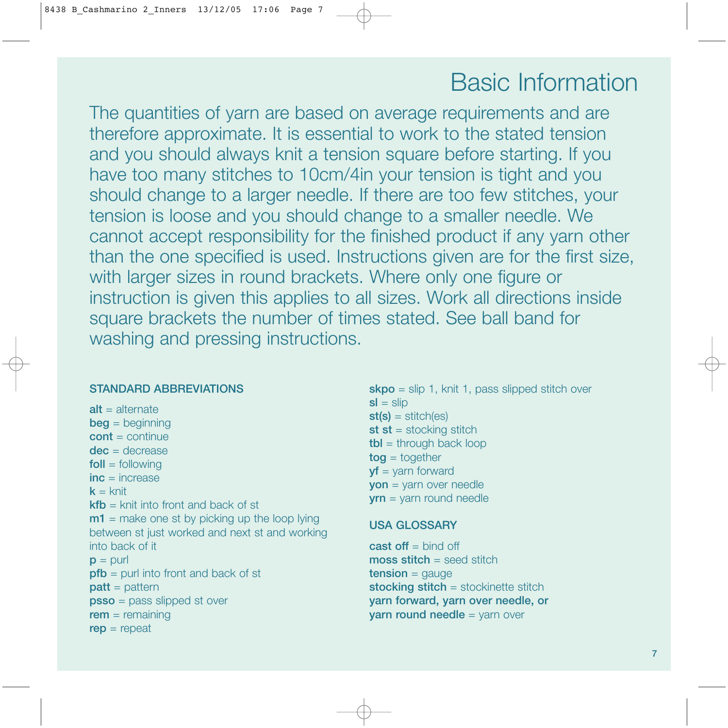# Basic Information

The quantities of yarn are based on average requirements and are therefore approximate. It is essential to work to the stated tension and you should always knit a tension square before starting. If you have too many stitches to 10cm/4in your tension is tight and you should change to a larger needle. If there are too few stitches, your tension is loose and you should change to a smaller needle. We cannot accept responsibility for the finished product if any yarn other than the one specified is used. Instructions given are for the first size, with larger sizes in round brackets. Where only one figure or instruction is given this applies to all sizes. Work all directions inside square brackets the number of times stated. See ball band for washing and pressing instructions.

# STANDARD ABBREVIATIONS

 $alt =$ alternate  $beg = beginning$  $\text{cont} = \text{continue}$ dec = decrease  $f$ oll = following  $inc =$ increase  $k =$  knit  $kfb =$  knit into front and back of st  $m1$  = make one st by picking up the loop lying between st just worked and next st and working into back of it  $p =$  purl  $pfb =$  purl into front and back of st  $part = pattern$ psso = pass slipped st over  $rem = remaining$  $rep = repeat$ 

 $\mathsf{skpo} = \mathsf{slip} 1$ , knit 1, pass slipped stitch over  $sl = slip$  $st(s) = stitch(es)$ st st = stocking stitch  $tbl =$  through back loop  $tog = together$  $yf = yarn$  forward yon = yarn over needle yrn = yarn round needle

#### USA GLOSSARY

cast off  $=$  bind off  $mass$  stitch = seed stitch  $tension = gauge$ stocking stitch = stockinette stitch yarn forward, yarn over needle, or yarn round needle = yarn over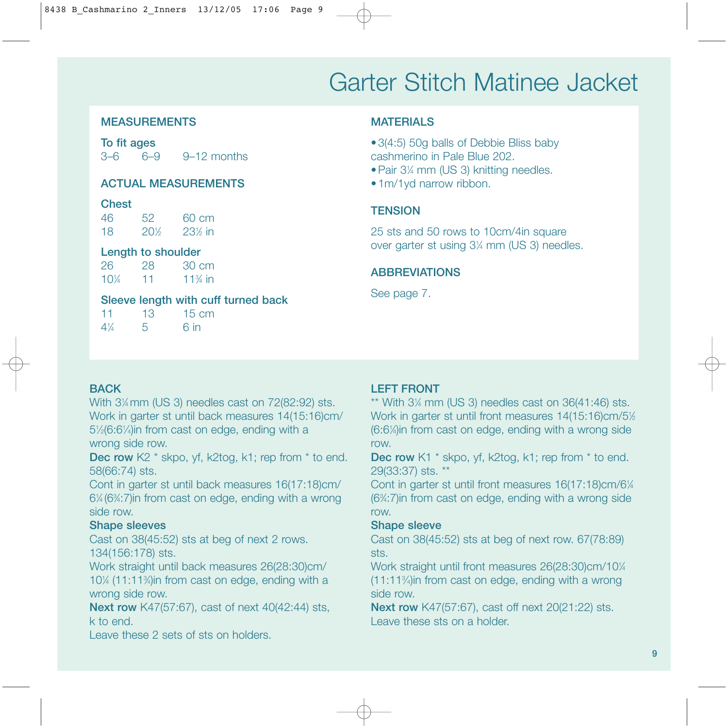# Garter Stitch Matinee Jacket

# MEASUREMENTS

To fit ages 3–6 6–9 9–12 months

### ACTUAL MEASUREMENTS

#### **Chest**

46 52 60 cm 18 20<sup>1</sup>/<sub>2</sub> ⁄2 231 ⁄2 in

# Length to shoulder

26 28 30 cm 101 ⁄4 11 113 ⁄4 in

# Sleeve length with cuff turned back

11 13 15 cm  $4\frac{1}{4}$ ⁄4 5 6 in

# **MATFRIALS**

•3(4:5) 50g balls of Debbie Bliss baby cashmerino in Pale Blue 202.

•Pair 31 ⁄4 mm (US 3) knitting needles.

•1m/1yd narrow ribbon.

# **TENSION**

25 sts and 50 rows to 10cm/4in square over garter st using 31 ⁄4 mm (US 3) needles.

# ABBREVIATIONS

See page 7.

# **BACK**

With 31 ⁄4 mm (US 3) needles cast on 72(82:92) sts. Work in garter st until back measures 14(15:16)cm/ 5<sup>1</sup>/<sub>2</sub>(6:6<sup>1</sup>/<sub>4</sub>)in from cast on edge, ending with a wrong side row.

Dec row K2 \* skpo, yf, k2tog, k1; rep from \* to end. 58(66:74) sts.

Cont in garter st until back measures 16(17:18)cm/ 61 ⁄4 (63 ⁄4:7)in from cast on edge, ending with a wrong side row.

# Shape sleeves

Cast on 38(45:52) sts at beg of next 2 rows. 134(156:178) sts.

Work straight until back measures 26(28:30)cm/ 101 ⁄4 (11:113 ⁄4)in from cast on edge, ending with a wrong side row.

Next row K47(57:67), cast of next 40(42:44) sts, k to end.

Leave these 2 sets of sts on holders.

# LEFT FRONT

 $**$  With 3 $\frac{1}{4}$  mm (US 3) needles cast on 36(41:46) sts. Work in garter st until front measures 14(15:16)cm/5½ (6:61 ⁄4)in from cast on edge, ending with a wrong side row.

Dec row K1  $*$  skpo, yf, k2tog, k1; rep from  $*$  to end. 29(33:37) sts. \*\*

Cont in garter st until front measures 16(17:18)cm/61/4 (63 ⁄4:7)in from cast on edge, ending with a wrong side row.

# Shape sleeve

Cast on 38(45:52) sts at beg of next row. 67(78:89) sts.

Work straight until front measures 26(28:30)cm/10¼ (11:113 ⁄4)in from cast on edge, ending with a wrong side row.

Next row K47(57:67), cast off next 20(21:22) sts. Leave these sts on a holder.